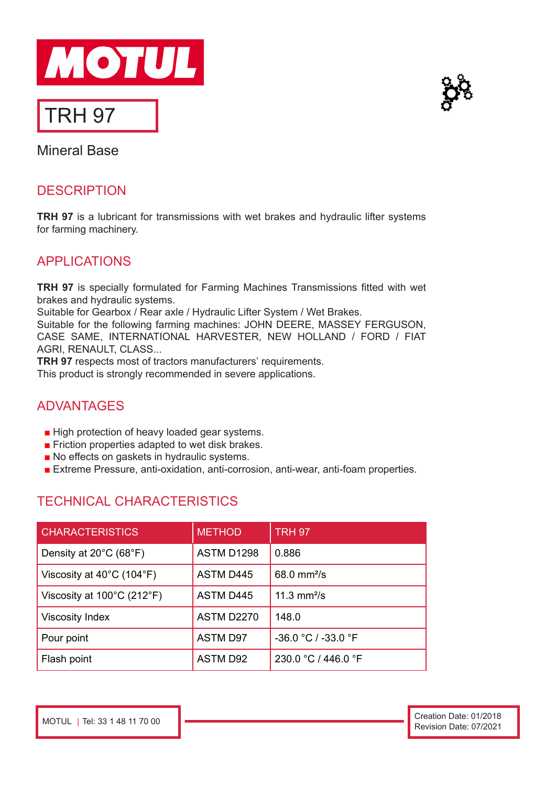



Mineral Base

## **DESCRIPTION**

**TRH 97** is a lubricant for transmissions with wet brakes and hydraulic lifter systems for farming machinery.

## APPLICATIONS

**TRH 97** is specially formulated for Farming Machines Transmissions fitted with wet brakes and hydraulic systems.

Suitable for Gearbox / Rear axle / Hydraulic Lifter System / Wet Brakes.

Suitable for the following farming machines: JOHN DEERE, MASSEY FERGUSON, CASE SAME, INTERNATIONAL HARVESTER, NEW HOLLAND / FORD / FIAT AGRI, RENAULT, CLASS...

**TRH 97** respects most of tractors manufacturers' requirements. This product is strongly recommended in severe applications.

## ADVANTAGES

- High protection of heavy loaded gear systems.
- Friction properties adapted to wet disk brakes.
- No effects on gaskets in hydraulic systems.
- Extreme Pressure, anti-oxidation, anti-corrosion, anti-wear, anti-foam properties.

# TECHNICAL CHARACTERISTICS

| <b>CHARACTERISTICS</b>                          | <b>METHOD</b>     | <b>TRH 97</b>          |
|-------------------------------------------------|-------------------|------------------------|
| Density at $20^{\circ}$ C (68 $^{\circ}$ F)     | ASTM D1298        | 0.886                  |
| Viscosity at $40^{\circ}$ C (104 $^{\circ}$ F)  | <b>ASTM D445</b>  | $68.0 \text{ mm}^2$ /s |
| Viscosity at $100^{\circ}$ C (212 $^{\circ}$ F) | <b>ASTM D445</b>  | 11.3 $mm^2/s$          |
| <b>Viscosity Index</b>                          | <b>ASTM D2270</b> | 148.0                  |
| Pour point                                      | <b>ASTM D97</b>   | -36.0 °C / -33.0 °F    |
| Flash point                                     | <b>ASTM D92</b>   | 230.0 °C / 446.0 °F    |